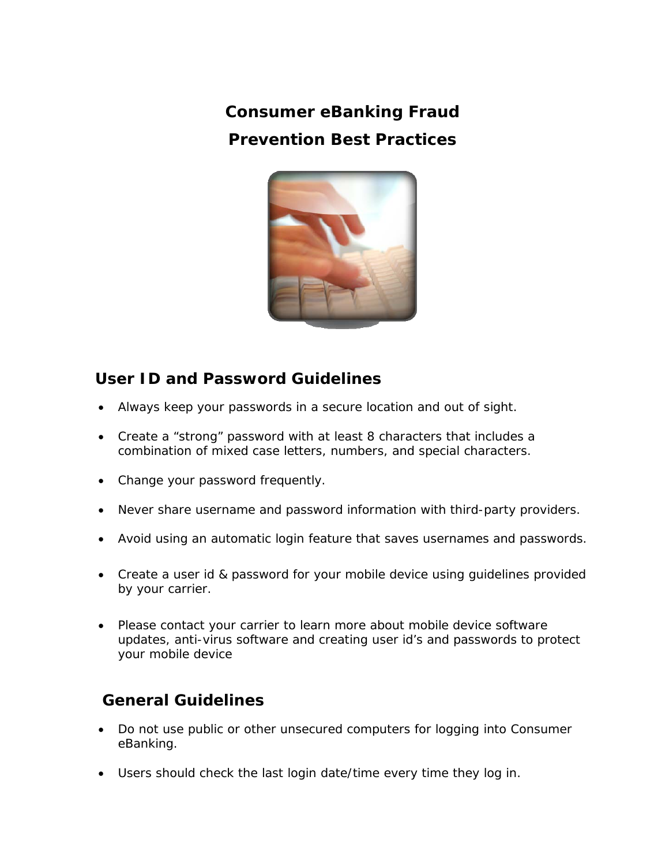**Consumer eBanking Fraud Prevention Best Practices**



## **User ID and Password Guidelines**

- Always keep your passwords in a secure location and out of sight.
- Create a "strong" password with at least 8 characters that includes a combination of mixed case letters, numbers, and special characters.
- Change your password frequently.
- Never share username and password information with third-party providers.
- Avoid using an automatic login feature that saves usernames and passwords.
- Create a user id & password for your mobile device using guidelines provided by your carrier.
- Please contact your carrier to learn more about mobile device software updates, anti-virus software and creating user id's and passwords to protect your mobile device

## **General Guidelines**

- Do not use public or other unsecured computers for logging into Consumer eBanking.
- Users should check the last login date/time every time they log in.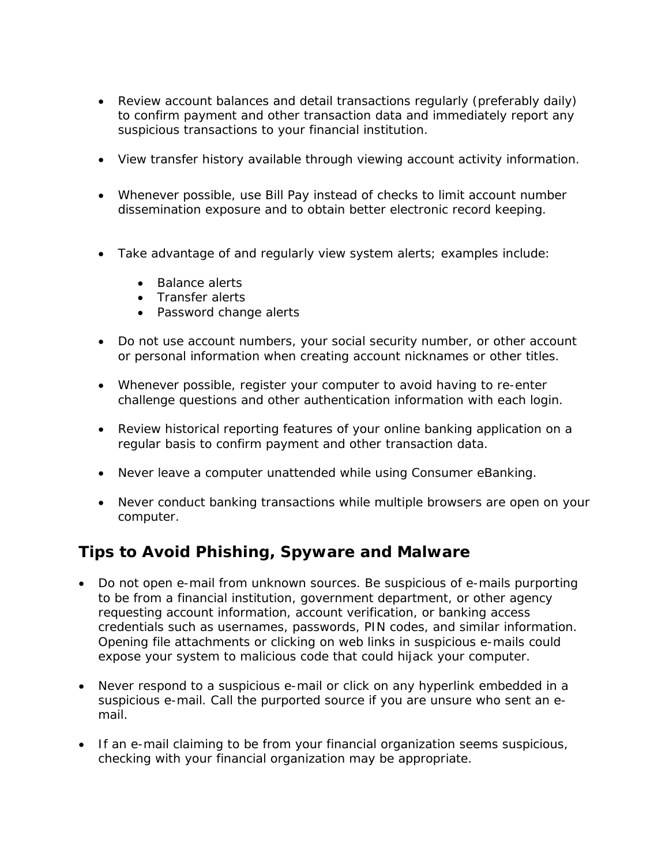- Review account balances and detail transactions regularly (preferably daily) to confirm payment and other transaction data and immediately report any suspicious transactions to your financial institution.
- View transfer history available through viewing account activity information.
- Whenever possible, use Bill Pay instead of checks to limit account number dissemination exposure and to obtain better electronic record keeping.
- Take advantage of and regularly view system alerts; examples include:
	- Balance alerts
	- Transfer alerts
	- Password change alerts
- Do not use account numbers, your social security number, or other account or personal information when creating account nicknames or other titles.
- Whenever possible, register your computer to avoid having to re-enter challenge questions and other authentication information with each login.
- Review historical reporting features of your online banking application on a regular basis to confirm payment and other transaction data.
- Never leave a computer unattended while using Consumer eBanking.
- Never conduct banking transactions while multiple browsers are open on your computer.

## **Tips to Avoid Phishing, Spyware and Malware**

- Do not open e-mail from unknown sources. Be suspicious of e-mails purporting to be from a financial institution, government department, or other agency requesting account information, account verification, or banking access credentials such as usernames, passwords, PIN codes, and similar information. Opening file attachments or clicking on web links in suspicious e-mails could expose your system to malicious code that could hijack your computer.
- Never respond to a suspicious e-mail or click on any hyperlink embedded in a suspicious e-mail. Call the purported source if you are unsure who sent an email.
- If an e-mail claiming to be from your financial organization seems suspicious, checking with your financial organization may be appropriate.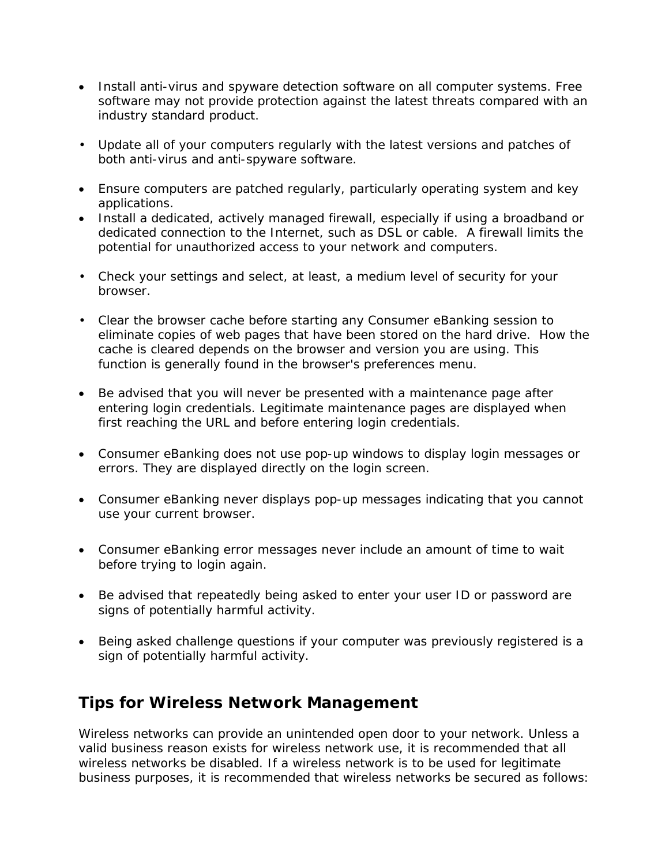- Install anti-virus and spyware detection software on all computer systems. Free software may not provide protection against the latest threats compared with an industry standard product.
- Update all of your computers regularly with the latest versions and patches of both anti-virus and anti-spyware software.
- Ensure computers are patched regularly, particularly operating system and key applications.
- Install a dedicated, actively managed firewall, especially if using a broadband or dedicated connection to the Internet, such as DSL or cable. A firewall limits the potential for unauthorized access to your network and computers.
- Check your settings and select, at least, a medium level of security for your browser.
- Clear the browser cache before starting any Consumer eBanking session to eliminate copies of web pages that have been stored on the hard drive. How the cache is cleared depends on the browser and version you are using. This function is generally found in the browser's preferences menu.
- Be advised that you will never be presented with a maintenance page after entering login credentials. Legitimate maintenance pages are displayed when first reaching the URL and before entering login credentials.
- Consumer eBanking does not use pop-up windows to display login messages or errors. They are displayed directly on the login screen.
- Consumer eBanking never displays pop-up messages indicating that you cannot use your current browser.
- Consumer eBanking error messages never include an amount of time to wait before trying to login again.
- Be advised that repeatedly being asked to enter your user ID or password are signs of potentially harmful activity.
- Being asked challenge questions if your computer was previously registered is a sign of potentially harmful activity.

## **Tips for Wireless Network Management**

Wireless networks can provide an unintended open door to your network. Unless a valid business reason exists for wireless network use, it is recommended that all wireless networks be disabled. If a wireless network is to be used for legitimate business purposes, it is recommended that wireless networks be secured as follows: